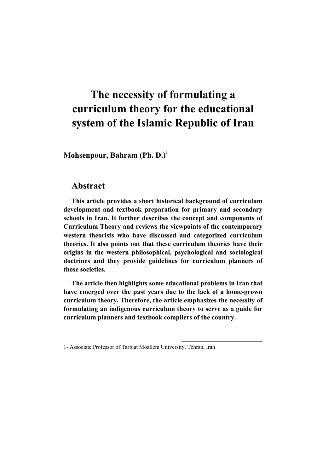# **The necessity of formulating a curriculum theory for the educational system of the Islamic Republic of Iran**

**Mohsenpour, Bahram (Ph. D.)<sup>1</sup>**

### **Abstract**

**This article provides a short historical background of curriculum development and textbook preparation for primary and secondary schools in Iran. It further describes the concept and components of Curriculum Theory and reviews the viewpoints of the contemporary western theorists who have discussed and categorized curriculum theories. It also points out that these curriculum theories have their origins in the western philosophical, psychological and sociological doctrines and they provide guidelines for curriculum planners of those societies.** 

**The article then highlights some educational problems in Iran that have emerged over the past years due to the lack of a home-grown curriculum theory. Therefore, the article emphasizes the necessity of formulating an indigenous curriculum theory to serve as a guide for curriculum planners and textbook compilers of the country.** 

 $\overline{\phantom{a}}$ 

<sup>1-</sup> Associate Professor of Tarbiat Moallem University, Tehran, Iran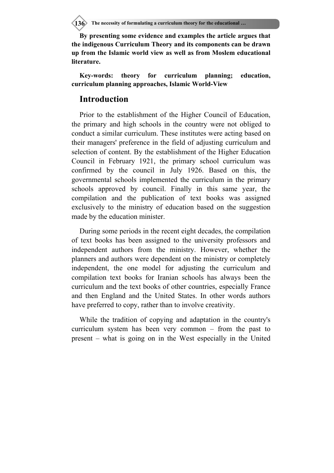**136** The necessity of formulating a curriculum theory for the educational ...

**By presenting some evidence and examples the article argues that the indigenous Curriculum Theory and its components can be drawn up from the Islamic world view as well as from Moslem educational literature.** 

**Key-words: theory for curriculum planning; education, curriculum planning approaches, Islamic World-View** 

#### **Introduction**

Prior to the establishment of the Higher Council of Education, the primary and high schools in the country were not obliged to conduct a similar curriculum. These institutes were acting based on their managers' preference in the field of adjusting curriculum and selection of content. By the establishment of the Higher Education Council in February 1921, the primary school curriculum was confirmed by the council in July 1926. Based on this, the governmental schools implemented the curriculum in the primary schools approved by council. Finally in this same year, the compilation and the publication of text books was assigned exclusively to the ministry of education based on the suggestion made by the education minister.

During some periods in the recent eight decades, the compilation of text books has been assigned to the university professors and independent authors from the ministry. However, whether the planners and authors were dependent on the ministry or completely independent, the one model for adjusting the curriculum and compilation text books for Iranian schools has always been the curriculum and the text books of other countries, especially France and then England and the United States. In other words authors have preferred to copy, rather than to involve creativity.

While the tradition of copying and adaptation in the country's curriculum system has been very common – from the past to present – what is going on in the West especially in the United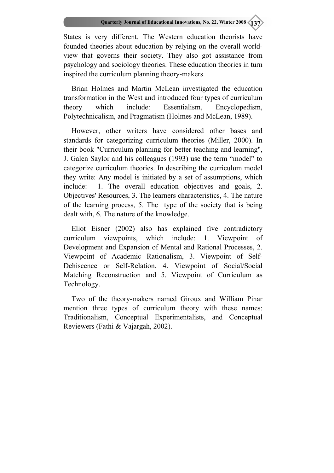States is very different. The Western education theorists have founded theories about education by relying on the overall worldview that governs their society. They also got assistance from psychology and sociology theories. These education theories in turn inspired the curriculum planning theory-makers.

Brian Holmes and Martin McLean investigated the education transformation in the West and introduced four types of curriculum theory which include: Essentialism, Encyclopedism, Polytechnicalism, and Pragmatism (Holmes and McLean, 1989).

However, other writers have considered other bases and standards for categorizing curriculum theories (Miller, 2000). In their book "Curriculum planning for better teaching and learning", J. Galen Saylor and his colleagues (1993) use the term "model" to categorize curriculum theories. In describing the curriculum model they write: Any model is initiated by a set of assumptions, which include: 1. The overall education objectives and goals, 2. Objectives' Resources, 3. The learners characteristics, 4. The nature of the learning process, 5. The type of the society that is being dealt with, 6. The nature of the knowledge.

Eliot Eisner (2002) also has explained five contradictory curriculum viewpoints, which include: 1. Viewpoint of Development and Expansion of Mental and Rational Processes, 2. Viewpoint of Academic Rationalism, 3. Viewpoint of Self-Dehiscence or Self-Relation, 4. Viewpoint of Social/Social Matching Reconstruction and 5. Viewpoint of Curriculum as Technology.

Two of the theory-makers named Giroux and William Pinar mention three types of curriculum theory with these names: Traditionalism, Conceptual Experimentalists, and Conceptual Reviewers (Fathi & Vajargah, 2002).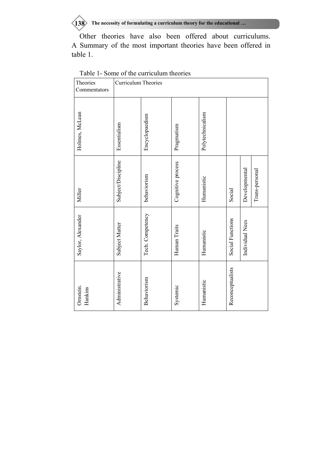**138** The necessity of formulating a curriculum theory for the educational ...

Other theories have also been offered about curriculums. A Summary of the most important theories have been offered in table 1.

| Theories<br>Commentators | Curriculum Theories |                  |                   |                  |                  |                                 |  |
|--------------------------|---------------------|------------------|-------------------|------------------|------------------|---------------------------------|--|
| Holmes, McLean           | Essentialism        | Encyclopaedism   | Pragmatism        | Polytechnicalism |                  |                                 |  |
| Miller                   | Subject/Discipline  | behaviorism      | Cognitive process | Humanistic       | Social           | Developmental<br>Trans-personal |  |
| Saylor, Alexander        | Subject Matter      | Tech. Competency | Human Traits      | Humanistic       | Social Functions | Individual Nees                 |  |
| Ornstein.<br>Hankins     | Administrative      | Behaviorism      | Systemic          | Humanistic       | Reconceptualists |                                 |  |

Table 1- Some of the curriculum theories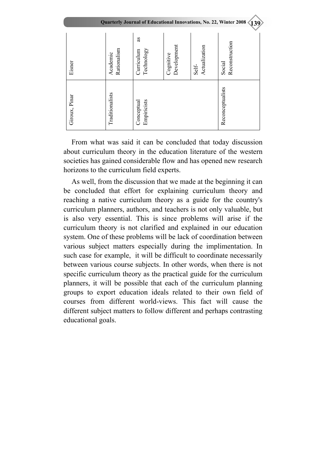| Quarterly Journal of Educational Innovations, No. 22, Winter 2008<br>139 |                         |                                      |                          |                        |                          |  |  |  |
|--------------------------------------------------------------------------|-------------------------|--------------------------------------|--------------------------|------------------------|--------------------------|--|--|--|
| Eisner                                                                   | Rationalism<br>Academic | æ<br>Technology<br><b>Curriculum</b> | Development<br>Cognitive | Actualization<br>Self- | Reconstruction<br>Social |  |  |  |
| Giroux, Pinar                                                            | Traditionalists         | Empiricists<br>Conceptual            |                          |                        | Reconceptualists         |  |  |  |

From what was said it can be concluded that today discussion about curriculum theory in the education literature of the western societies has gained considerable flow and has opened new research horizons to the curriculum field experts.

As well, from the discussion that we made at the beginning it can be concluded that effort for explaining curriculum theory and reaching a native curriculum theory as a guide for the country's curriculum planners, authors, and teachers is not only valuable, but is also very essential. This is since problems will arise if the curriculum theory is not clarified and explained in our education system. One of these problems will be lack of coordination between various subject matters especially during the implimentation. In such case for example, it will be difficult to coordinate necessarily between various course subjects. In other words, when there is not specific curriculum theory as the practical guide for the curriculum planners, it will be possible that each of the curriculum planning groups to export education ideals related to their own field of courses from different world-views. This fact will cause the different subject matters to follow different and perhaps contrasting educational goals.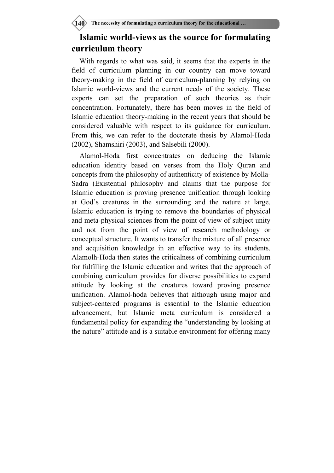## **Islamic world-views as the source for formulating curriculum theory**

With regards to what was said, it seems that the experts in the field of curriculum planning in our country can move toward theory-making in the field of curriculum-planning by relying on Islamic world-views and the current needs of the society. These experts can set the preparation of such theories as their concentration. Fortunately, there has been moves in the field of Islamic education theory-making in the recent years that should be considered valuable with respect to its guidance for curriculum. From this, we can refer to the doctorate thesis by Alamol-Hoda (2002), Shamshiri (2003), and Salsebili (2000).

Alamol-Hoda first concentrates on deducing the Islamic education identity based on verses from the Holy Quran and concepts from the philosophy of authenticity of existence by Molla-Sadra (Existential philosophy and claims that the purpose for Islamic education is proving presence unification through looking at God's creatures in the surrounding and the nature at large. Islamic education is trying to remove the boundaries of physical and meta-physical sciences from the point of view of subject unity and not from the point of view of research methodology or conceptual structure. It wants to transfer the mixture of all presence and acquisition knowledge in an effective way to its students. Alamolh-Hoda then states the criticalness of combining curriculum for fulfilling the Islamic education and writes that the approach of combining curriculum provides for diverse possibilities to expand attitude by looking at the creatures toward proving presence unification. Alamol-hoda believes that although using major and subject-centered programs is essential to the Islamic education advancement, but Islamic meta curriculum is considered a fundamental policy for expanding the "understanding by looking at the nature" attitude and is a suitable environment for offering many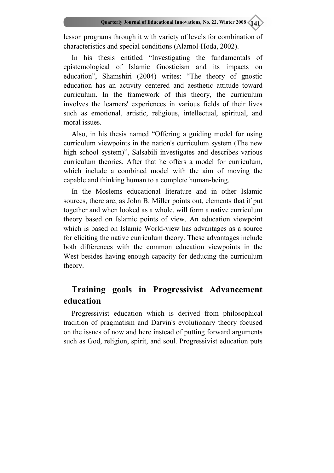lesson programs through it with variety of levels for combination of characteristics and special conditions (Alamol-Hoda, 2002).

In his thesis entitled "Investigating the fundamentals of epistemological of Islamic Gnosticism and its impacts on education", Shamshiri (2004) writes: "The theory of gnostic education has an activity centered and aesthetic attitude toward curriculum. In the framework of this theory, the curriculum involves the learners' experiences in various fields of their lives such as emotional, artistic, religious, intellectual, spiritual, and moral issues.

Also, in his thesis named "Offering a guiding model for using curriculum viewpoints in the nation's curriculum system (The new high school system)", Salsabili investigates and describes various curriculum theories. After that he offers a model for curriculum, which include a combined model with the aim of moving the capable and thinking human to a complete human-being.

In the Moslems educational literature and in other Islamic sources, there are, as John B. Miller points out, elements that if put together and when looked as a whole, will form a native curriculum theory based on Islamic points of view. An education viewpoint which is based on Islamic World-view has advantages as a source for eliciting the native curriculum theory. These advantages include both differences with the common education viewpoints in the West besides having enough capacity for deducing the curriculum theory.

### **Training goals in Progressivist Advancement education**

Progressivist education which is derived from philosophical tradition of pragmatism and Darvin's evolutionary theory focused on the issues of now and here instead of putting forward arguments such as God, religion, spirit, and soul. Progressivist education puts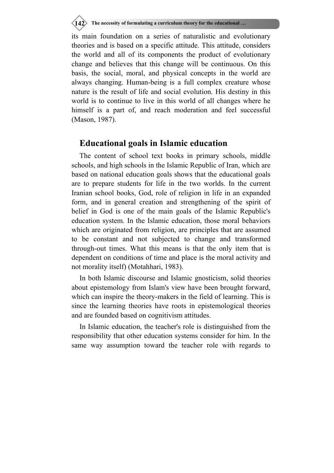**142** The necessity of formulating a curriculum theory for the educational ...

its main foundation on a series of naturalistic and evolutionary theories and is based on a specific attitude. This attitude, considers the world and all of its components the product of evolutionary change and believes that this change will be continuous. On this basis, the social, moral, and physical concepts in the world are always changing. Human-being is a full complex creature whose nature is the result of life and social evolution. His destiny in this world is to continue to live in this world of all changes where he himself is a part of, and reach moderation and feel successful (Mason, 1987).

### **Educational goals in Islamic education**

The content of school text books in primary schools, middle schools, and high schools in the Islamic Republic of Iran, which are based on national education goals shows that the educational goals are to prepare students for life in the two worlds. In the current Iranian school books, God, role of religion in life in an expanded form, and in general creation and strengthening of the spirit of belief in God is one of the main goals of the Islamic Republic's education system. In the Islamic education, those moral behaviors which are originated from religion, are principles that are assumed to be constant and not subjected to change and transformed through-out times. What this means is that the only item that is dependent on conditions of time and place is the moral activity and not morality itself) (Motahhari, 1983).

In both Islamic discourse and Islamic gnosticism, solid theories about epistemology from Islam's view have been brought forward, which can inspire the theory-makers in the field of learning. This is since the learning theories have roots in epistemological theories and are founded based on cognitivism attitudes.

In Islamic education, the teacher's role is distinguished from the responsibility that other education systems consider for him. In the same way assumption toward the teacher role with regards to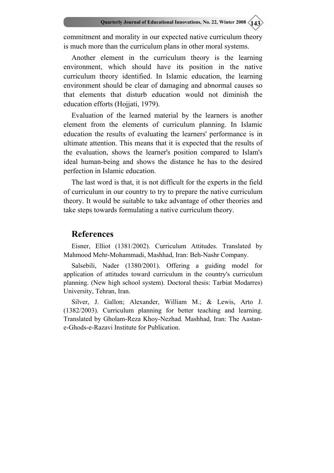commitment and morality in our expected native curriculum theory is much more than the curriculum plans in other moral systems.

Another element in the curriculum theory is the learning environment, which should have its position in the native curriculum theory identified. In Islamic education, the learning environment should be clear of damaging and abnormal causes so that elements that disturb education would not diminish the education efforts (Hojjati, 1979).

Evaluation of the learned material by the learners is another element from the elements of curriculum planning. In Islamic education the results of evaluating the learners' performance is in ultimate attention. This means that it is expected that the results of the evaluation, shows the learner's position compared to Islam's ideal human-being and shows the distance he has to the desired perfection in Islamic education.

The last word is that, it is not difficult for the experts in the field of curriculum in our country to try to prepare the native curriculum theory. It would be suitable to take advantage of other theories and take steps towards formulating a native curriculum theory.

#### **References**

Eisner, Elliot (1381/2002). Curriculum Attitudes. Translated by Mahmood Mehr-Mohammadi, Mashhad, Iran: Beh-Nashr Company.

Salsebili, Nader (1380/2001). Offering a guiding model for application of attitudes toward curriculum in the country's curriculum planning. (New high school system). Doctoral thesis: Tarbiat Modarres) University, Tehran, Iran.

Silver, J. Gallon; Alexander, William M.; & Lewis, Arto J. (1382/2003). Curriculum planning for better teaching and learning. Translated by Gholam-Reza Khoy-Nezhad. Mashhad, Iran: The Aastane-Ghods-e-Razavi Institute for Publication.